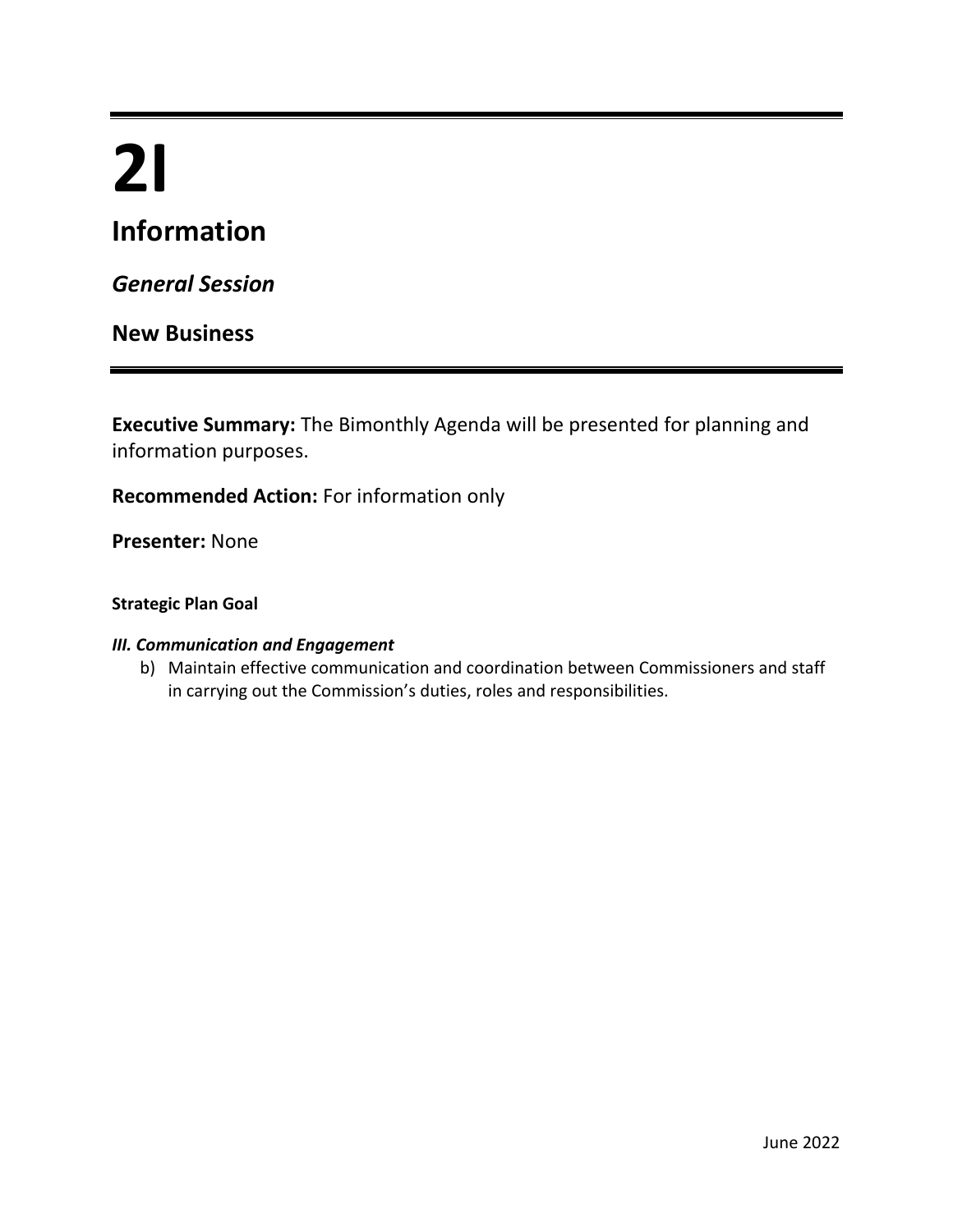# **2I**

# **Information**

*General Session*

## **New Business**

**Executive Summary:** The Bimonthly Agenda will be presented for planning and information purposes.

**Recommended Action:** For information only

**Presenter:** None

#### **Strategic Plan Goal**

#### *III. Communication and Engagement*

b) Maintain effective communication and coordination between Commissioners and staff in carrying out the Commission's duties, roles and responsibilities.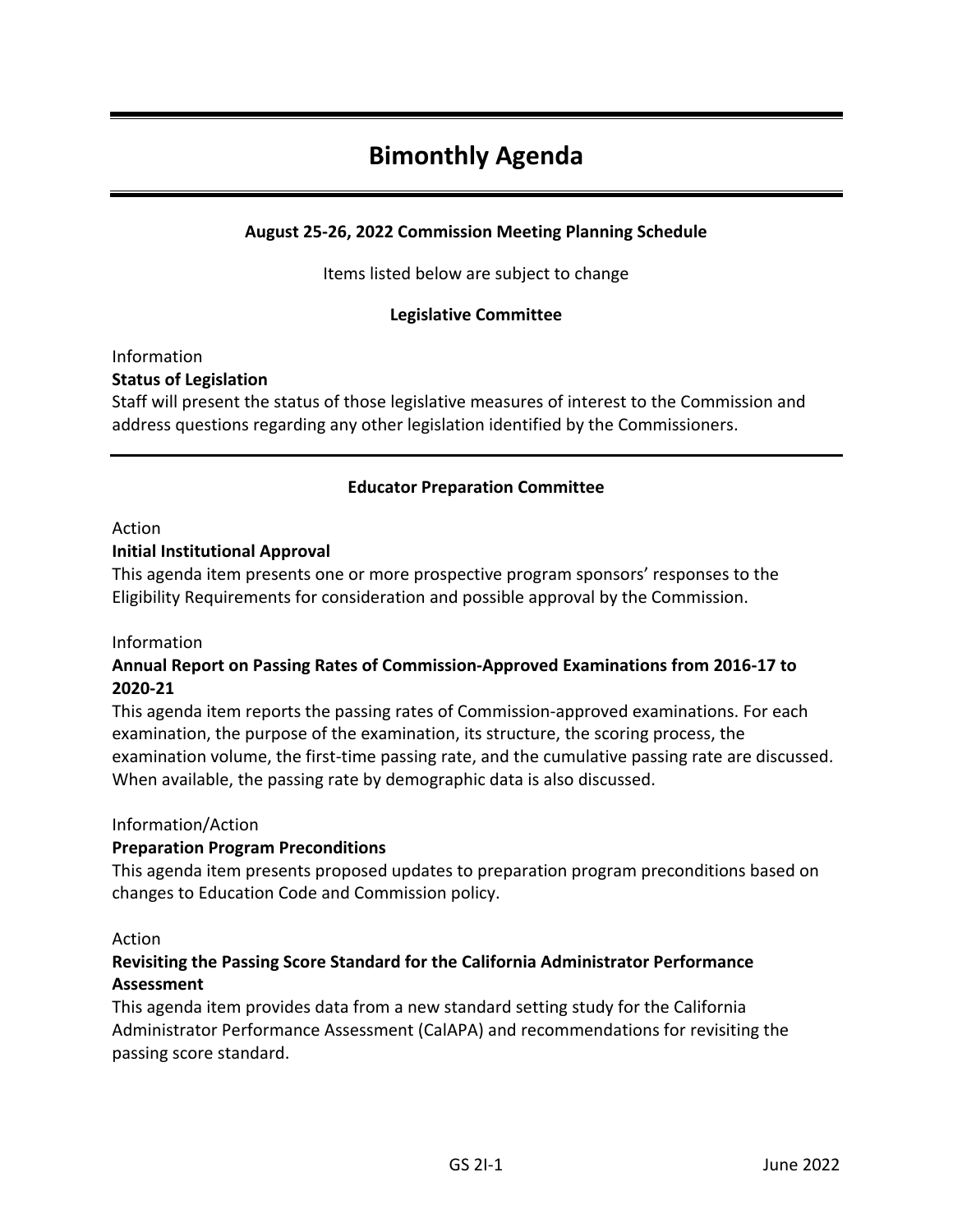# **Bimonthly Agenda**

#### **August 25-26, 2022 Commission Meeting Planning Schedule**

Items listed below are subject to change

#### **Legislative Committee**

#### Information **Status of Legislation**

Staff will present the status of those legislative measures of interest to the Commission and address questions regarding any other legislation identified by the Commissioners.

#### **Educator Preparation Committee**

#### Action

#### **Initial Institutional Approval**

This agenda item presents one or more prospective program sponsors' responses to the Eligibility Requirements for consideration and possible approval by the Commission.

#### Information

#### **Annual Report on Passing Rates of Commission-Approved Examinations from 2016-17 to 2020-21**

This agenda item reports the passing rates of Commission-approved examinations. For each examination, the purpose of the examination, its structure, the scoring process, the examination volume, the first-time passing rate, and the cumulative passing rate are discussed. When available, the passing rate by demographic data is also discussed.

#### Information/Action

#### **Preparation Program Preconditions**

This agenda item presents proposed updates to preparation program preconditions based on changes to Education Code and Commission policy.

#### Action

#### **Revisiting the Passing Score Standard for the California Administrator Performance Assessment**

This agenda item provides data from a new standard setting study for the California Administrator Performance Assessment (CalAPA) and recommendations for revisiting the passing score standard.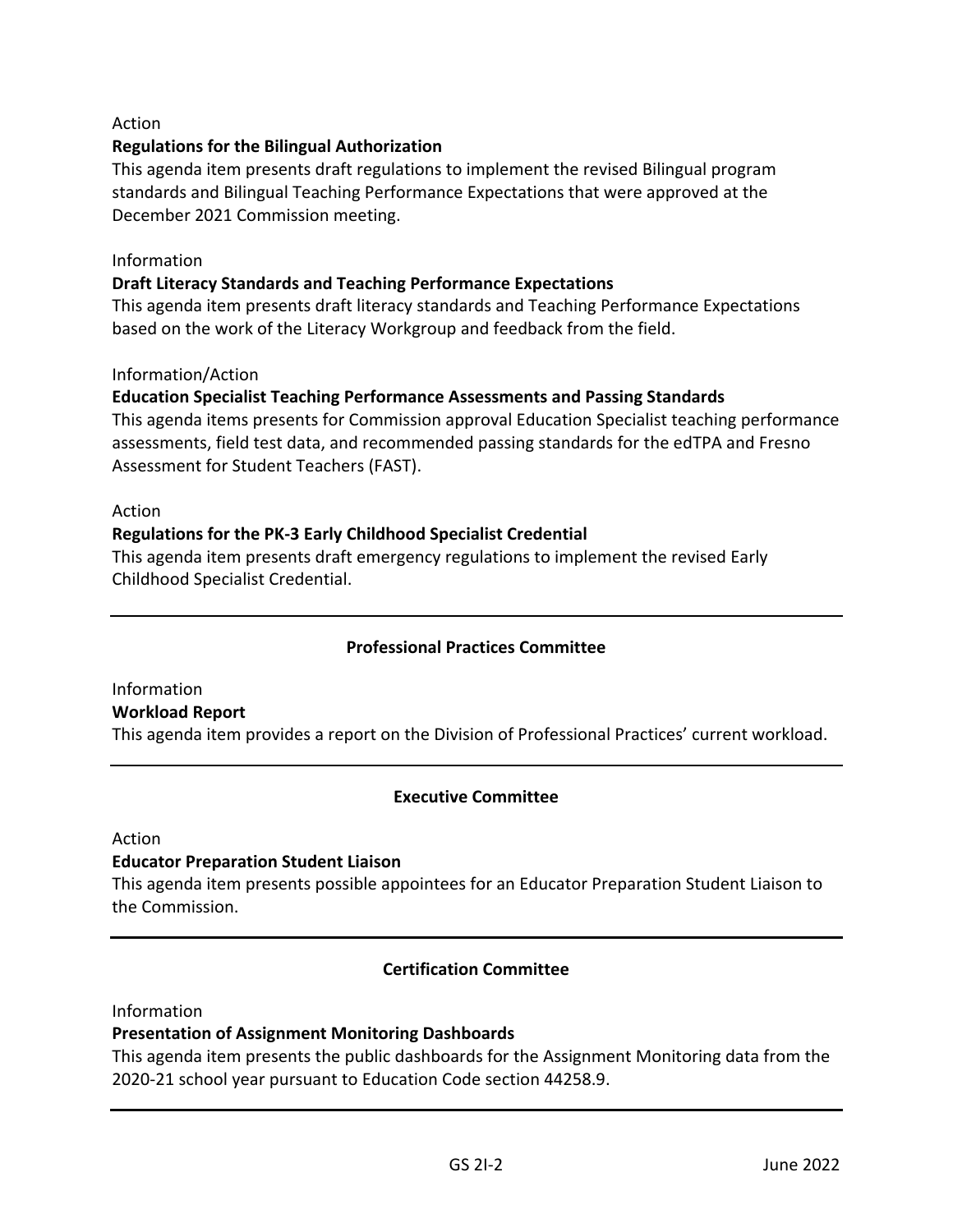#### Action

#### **Regulations for the Bilingual Authorization**

This agenda item presents draft regulations to implement the revised Bilingual program standards and Bilingual Teaching Performance Expectations that were approved at the December 2021 Commission meeting.

#### Information

#### **Draft Literacy Standards and Teaching Performance Expectations**

This agenda item presents draft literacy standards and Teaching Performance Expectations based on the work of the Literacy Workgroup and feedback from the field.

#### Information/Action

#### **Education Specialist Teaching Performance Assessments and Passing Standards**

This agenda items presents for Commission approval Education Specialist teaching performance assessments, field test data, and recommended passing standards for the edTPA and Fresno Assessment for Student Teachers (FAST).

#### Action

#### **Regulations for the PK-3 Early Childhood Specialist Credential**

This agenda item presents draft emergency regulations to implement the revised Early Childhood Specialist Credential.

#### **Professional Practices Committee**

Information **Workload Report**  This agenda item provides a report on the Division of Professional Practices' current workload.

#### **Executive Committee**

Action

#### **Educator Preparation Student Liaison**

This agenda item presents possible appointees for an Educator Preparation Student Liaison to the Commission.

#### **Certification Committee**

Information

#### **Presentation of Assignment Monitoring Dashboards**

This agenda item presents the public dashboards for the Assignment Monitoring data from the 2020-21 school year pursuant to Education Code section 44258.9.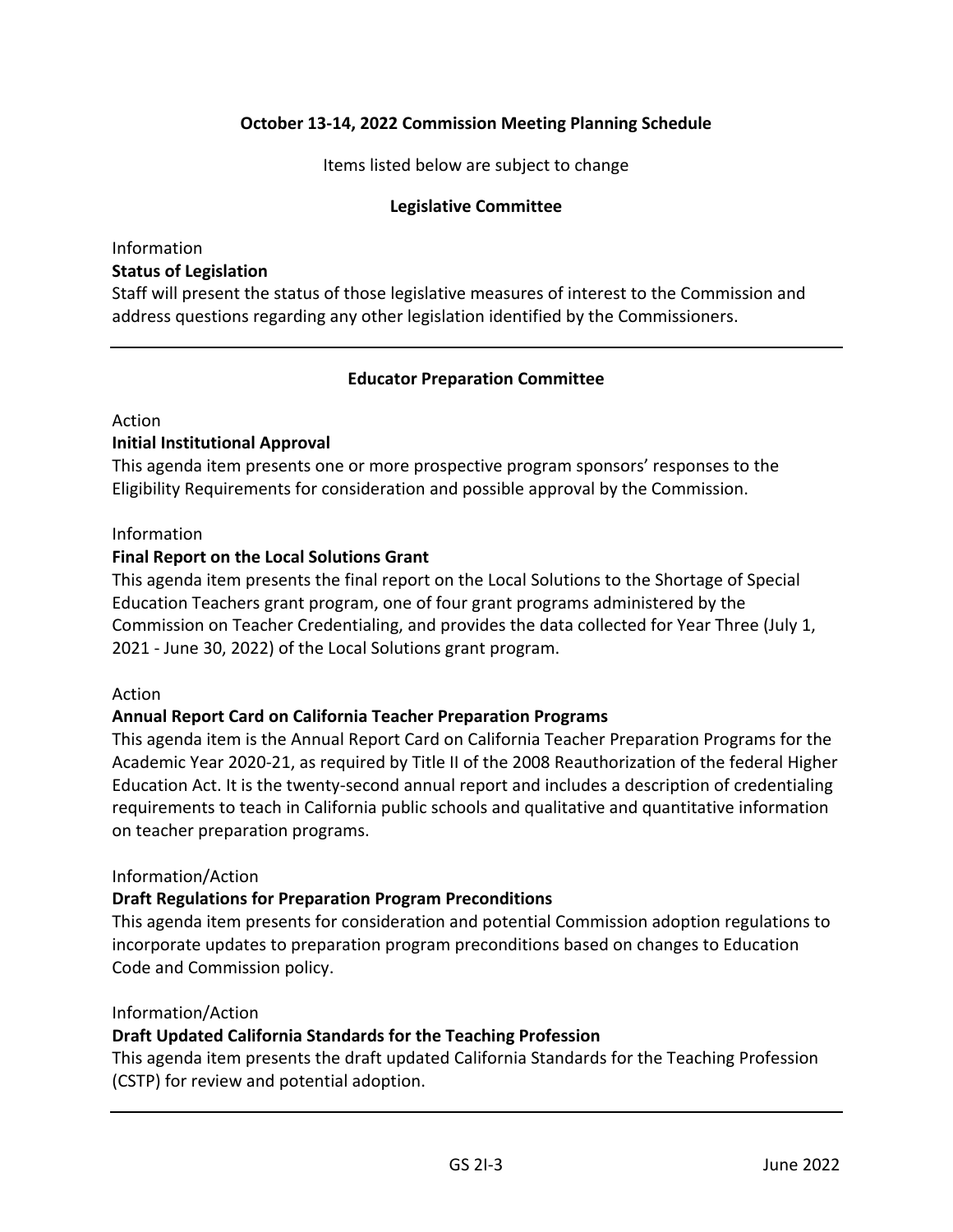#### **October 13-14, 2022 Commission Meeting Planning Schedule**

Items listed below are subject to change

#### **Legislative Committee**

#### Information **Status of Legislation**

Staff will present the status of those legislative measures of interest to the Commission and address questions regarding any other legislation identified by the Commissioners.

#### **Educator Preparation Committee**

#### Action

#### **Initial Institutional Approval**

This agenda item presents one or more prospective program sponsors' responses to the Eligibility Requirements for consideration and possible approval by the Commission.

#### Information

#### **Final Report on the Local Solutions Grant**

This agenda item presents the final report on the Local Solutions to the Shortage of Special Education Teachers grant program, one of four grant programs administered by the Commission on Teacher Credentialing, and provides the data collected for Year Three (July 1, 2021 - June 30, 2022) of the Local Solutions grant program.

#### Action

#### **Annual Report Card on California Teacher Preparation Programs**

This agenda item is the Annual Report Card on California Teacher Preparation Programs for the Academic Year 2020-21, as required by Title II of the 2008 Reauthorization of the federal Higher Education Act. It is the twenty-second annual report and includes a description of credentialing requirements to teach in California public schools and qualitative and quantitative information on teacher preparation programs.

#### Information/Action

#### **Draft Regulations for Preparation Program Preconditions**

This agenda item presents for consideration and potential Commission adoption regulations to incorporate updates to preparation program preconditions based on changes to Education Code and Commission policy.

#### Information/Action

#### **Draft Updated California Standards for the Teaching Profession**

This agenda item presents the draft updated California Standards for the Teaching Profession (CSTP) for review and potential adoption.